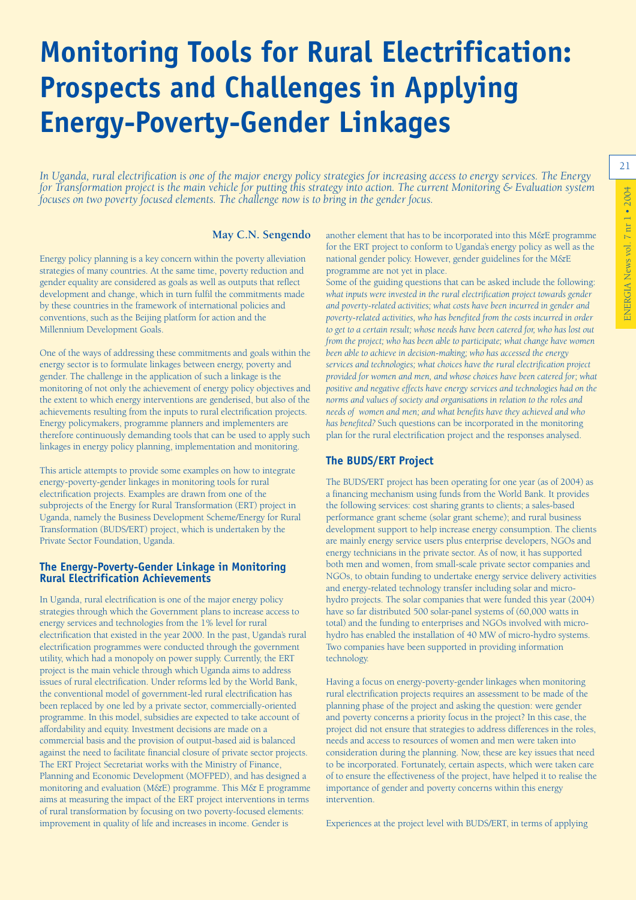# **Monitoring Tools for Rural Electrification: Prospects and Challenges in Applying Energy-Poverty-Gender Linkages**

*In Uganda, rural electrification is one of the major energy policy strategies for increasing access to energy services. The Energy for Transformation project is the main vehicle for putting this strategy into action. The current Monitoring & Evaluation system focuses on two poverty focused elements. The challenge now is to bring in the gender focus.*

#### **May C.N. Sengendo**

Energy policy planning is a key concern within the poverty alleviation strategies of many countries. At the same time, poverty reduction and gender equality are considered as goals as well as outputs that reflect development and change, which in turn fulfil the commitments made by these countries in the framework of international policies and conventions, such as the Beijing platform for action and the Millennium Development Goals.

One of the ways of addressing these commitments and goals within the energy sector is to formulate linkages between energy, poverty and gender. The challenge in the application of such a linkage is the monitoring of not only the achievement of energy policy objectives and the extent to which energy interventions are genderised, but also of the achievements resulting from the inputs to rural electrification projects. Energy policymakers, programme planners and implementers are therefore continuously demanding tools that can be used to apply such linkages in energy policy planning, implementation and monitoring.

This article attempts to provide some examples on how to integrate energy-poverty-gender linkages in monitoring tools for rural electrification projects. Examples are drawn from one of the subprojects of the Energy for Rural Transformation (ERT) project in Uganda, namely the Business Development Scheme/Energy for Rural Transformation (BUDS/ERT) project, which is undertaken by the Private Sector Foundation, Uganda.

### **The Energy-Poverty-Gender Linkage in Monitoring Rural Electrification Achievements**

In Uganda, rural electrification is one of the major energy policy strategies through which the Government plans to increase access to energy services and technologies from the 1% level for rural electrification that existed in the year 2000. In the past, Uganda's rural electrification programmes were conducted through the government utility, which had a monopoly on power supply. Currently, the ERT project is the main vehicle through which Uganda aims to address issues of rural electrification. Under reforms led by the World Bank, the conventional model of government-led rural electrification has been replaced by one led by a private sector, commercially-oriented programme. In this model, subsidies are expected to take account of affordability and equity. Investment decisions are made on a commercial basis and the provision of output-based aid is balanced against the need to facilitate financial closure of private sector projects. The ERT Project Secretariat works with the Ministry of Finance, Planning and Economic Development (MOFPED), and has designed a monitoring and evaluation (M&E) programme. This M& E programme aims at measuring the impact of the ERT project interventions in terms of rural transformation by focusing on two poverty-focused elements: improvement in quality of life and increases in income. Gender is

another element that has to be incorporated into this M&E programme for the ERT project to conform to Uganda's energy policy as well as the national gender policy. However, gender guidelines for the M&E programme are not yet in place.

Some of the guiding questions that can be asked include the following: *what inputs were invested in the rural electrification project towards gender and poverty-related activities; what costs have been incurred in gender and poverty-related activities, who has benefited from the costs incurred in order to get to a certain result; whose needs have been catered for, who has lost out from the project; who has been able to participate; what change have women been able to achieve in decision-making; who has accessed the energy services and technologies; what choices have the rural electrification project provided for women and men, and whose choices have been catered for; what positive and negative effects have energy services and technologies had on the norms and values of society and organisations in relation to the roles and needs of women and men; and what benefits have they achieved and who has benefited?* Such questions can be incorporated in the monitoring plan for the rural electrification project and the responses analysed.

## **The BUDS/ERT Project**

The BUDS/ERT project has been operating for one year (as of 2004) as a financing mechanism using funds from the World Bank. It provides the following services: cost sharing grants to clients; a sales-based performance grant scheme (solar grant scheme); and rural business development support to help increase energy consumption. The clients are mainly energy service users plus enterprise developers, NGOs and energy technicians in the private sector. As of now, it has supported both men and women, from small-scale private sector companies and NGOs, to obtain funding to undertake energy service delivery activities and energy-related technology transfer including solar and microhydro projects. The solar companies that were funded this year (2004) have so far distributed 500 solar-panel systems of (60,000 watts in total) and the funding to enterprises and NGOs involved with microhydro has enabled the installation of 40 MW of micro-hydro systems. Two companies have been supported in providing information technology.

Having a focus on energy-poverty-gender linkages when monitoring rural electrification projects requires an assessment to be made of the planning phase of the project and asking the question: were gender and poverty concerns a priority focus in the project? In this case, the project did not ensure that strategies to address differences in the roles, needs and access to resources of women and men were taken into consideration during the planning. Now, these are key issues that need to be incorporated. Fortunately, certain aspects, which were taken care of to ensure the effectiveness of the project, have helped it to realise the importance of gender and poverty concerns within this energy intervention.

Experiences at the project level with BUDS/ERT, in terms of applying